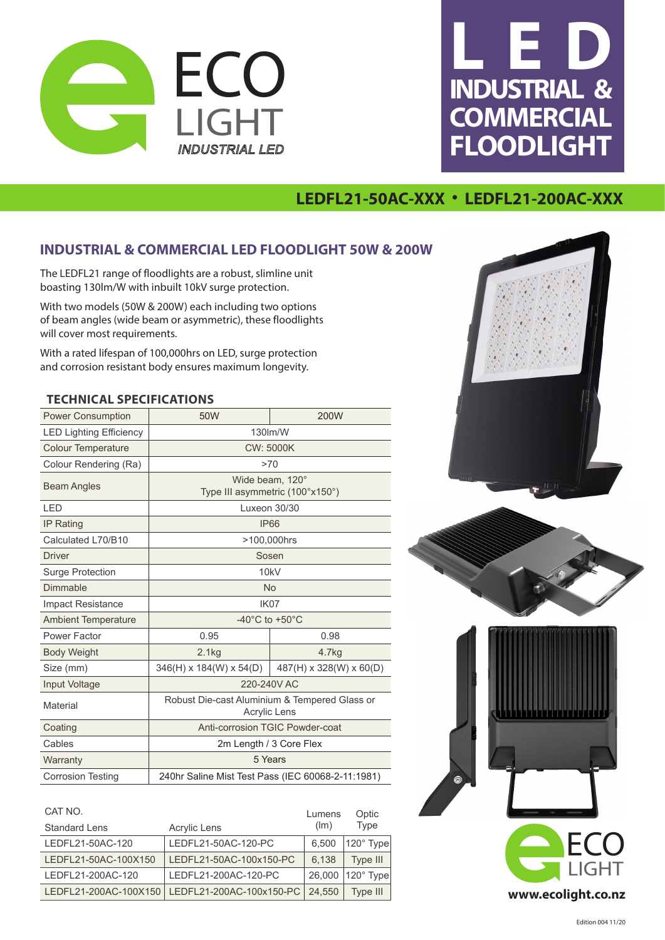



## **LEDFL21-50AC-XXX • LEDFL21-200AC-XXX**

## **INDUSTRIAL & COMMERCIAL LED FLOODLIGHT 50W & 200W**

The LEDFL21 range of floodlights are a robust, slimline unit boasting 130lm/W with inbuilt 10kV surge protection.

With two models (50W & 200W) each including two options of beam angles (wide beam or asymmetric), these floodlights will cover most requirements.

With a rated lifespan of 100,000hrs on LED, surge protection and corrosion resistant body ensures maximum longevity.

## **TECHNICAL SPECIFICATIONS**

| <b>Power Consumption</b>       | 50W                                                                  | 200W                    |  |
|--------------------------------|----------------------------------------------------------------------|-------------------------|--|
| <b>LED Lighting Efficiency</b> | 130lm/W                                                              |                         |  |
| <b>Colour Temperature</b>      | <b>CW: 5000K</b>                                                     |                         |  |
| Colour Rendering (Ra)          | >70                                                                  |                         |  |
| <b>Beam Angles</b>             | Wide beam. 120°<br>Type III asymmetric (100°x150°)                   |                         |  |
| <b>LED</b>                     | Luxeon 30/30                                                         |                         |  |
| <b>IP Rating</b>               | <b>IP66</b>                                                          |                         |  |
| Calculated L70/B10             | >100,000hrs                                                          |                         |  |
| Driver                         | Sosen                                                                |                         |  |
| <b>Surge Protection</b>        | 10kV                                                                 |                         |  |
| Dimmable                       | <b>No</b>                                                            |                         |  |
| <b>Impact Resistance</b>       | IK07                                                                 |                         |  |
| <b>Ambient Temperature</b>     | -40 $^{\circ}$ C to +50 $^{\circ}$ C                                 |                         |  |
| Power Factor                   | 0.95                                                                 | 0.98                    |  |
| <b>Body Weight</b>             | 2.1kg                                                                | 4.7 <sub>kq</sub>       |  |
| Size (mm)                      | 346(H) x 184(W) x 54(D)                                              | 487(H) x 328(W) x 60(D) |  |
| Input Voltage                  | 220-240V AC                                                          |                         |  |
| Material                       | Robust Die-cast Aluminium & Tempered Glass or<br><b>Acrylic Lens</b> |                         |  |
| Coating                        | Anti-corrosion TGIC Powder-coat                                      |                         |  |
| Cables                         | 2m Length / 3 Core Flex                                              |                         |  |
| Warranty                       | 5 Years                                                              |                         |  |
| <b>Corrosion Testing</b>       | 240hr Saline Mist Test Pass (IEC 60068-2-11:1981)                    |                         |  |

| CAT NO.<br><b>Standard Lens</b> | Acrylic Lens             | Lumens<br>(lm) | Optic<br>Type    |
|---------------------------------|--------------------------|----------------|------------------|
| LEDFL21-50AC-120                | LEDFL21-50AC-120-PC      | 6,500          | $120^\circ$ Type |
| LEDFL21-50AC-100X150            | LEDFL21-50AC-100x150-PC  | 6,138          | Type III         |
| LEDFL21-200AC-120               | LEDFL21-200AC-120-PC     | 26,000         | $120^\circ$ Type |
| LEDFL21-200AC-100X150           | LEDFL21-200AC-100x150-PC | 24,550         | Type III         |



**www.ecolight.co.nz**